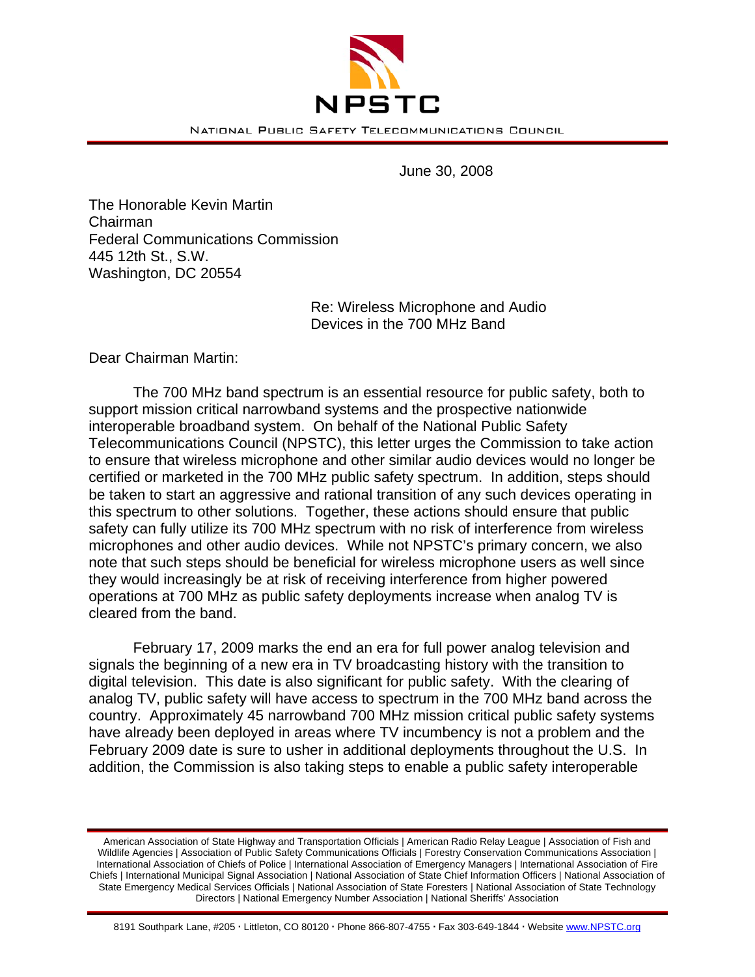

June 30, 2008

The Honorable Kevin Martin Chairman Federal Communications Commission 445 12th St., S.W. Washington, DC 20554

> Re: Wireless Microphone and Audio Devices in the 700 MHz Band

Dear Chairman Martin:

The 700 MHz band spectrum is an essential resource for public safety, both to support mission critical narrowband systems and the prospective nationwide interoperable broadband system. On behalf of the National Public Safety Telecommunications Council (NPSTC), this letter urges the Commission to take action to ensure that wireless microphone and other similar audio devices would no longer be certified or marketed in the 700 MHz public safety spectrum. In addition, steps should be taken to start an aggressive and rational transition of any such devices operating in this spectrum to other solutions. Together, these actions should ensure that public safety can fully utilize its 700 MHz spectrum with no risk of interference from wireless microphones and other audio devices. While not NPSTC's primary concern, we also note that such steps should be beneficial for wireless microphone users as well since they would increasingly be at risk of receiving interference from higher powered operations at 700 MHz as public safety deployments increase when analog TV is cleared from the band.

 February 17, 2009 marks the end an era for full power analog television and signals the beginning of a new era in TV broadcasting history with the transition to digital television. This date is also significant for public safety. With the clearing of analog TV, public safety will have access to spectrum in the 700 MHz band across the country. Approximately 45 narrowband 700 MHz mission critical public safety systems have already been deployed in areas where TV incumbency is not a problem and the February 2009 date is sure to usher in additional deployments throughout the U.S. In addition, the Commission is also taking steps to enable a public safety interoperable

American Association of State Highway and Transportation Officials | American Radio Relay League | Association of Fish and Wildlife Agencies | Association of Public Safety Communications Officials | Forestry Conservation Communications Association | International Association of Chiefs of Police | International Association of Emergency Managers | International Association of Fire Chiefs | International Municipal Signal Association | National Association of State Chief Information Officers | National Association of State Emergency Medical Services Officials | National Association of State Foresters | National Association of State Technology Directors | National Emergency Number Association | National Sheriffs' Association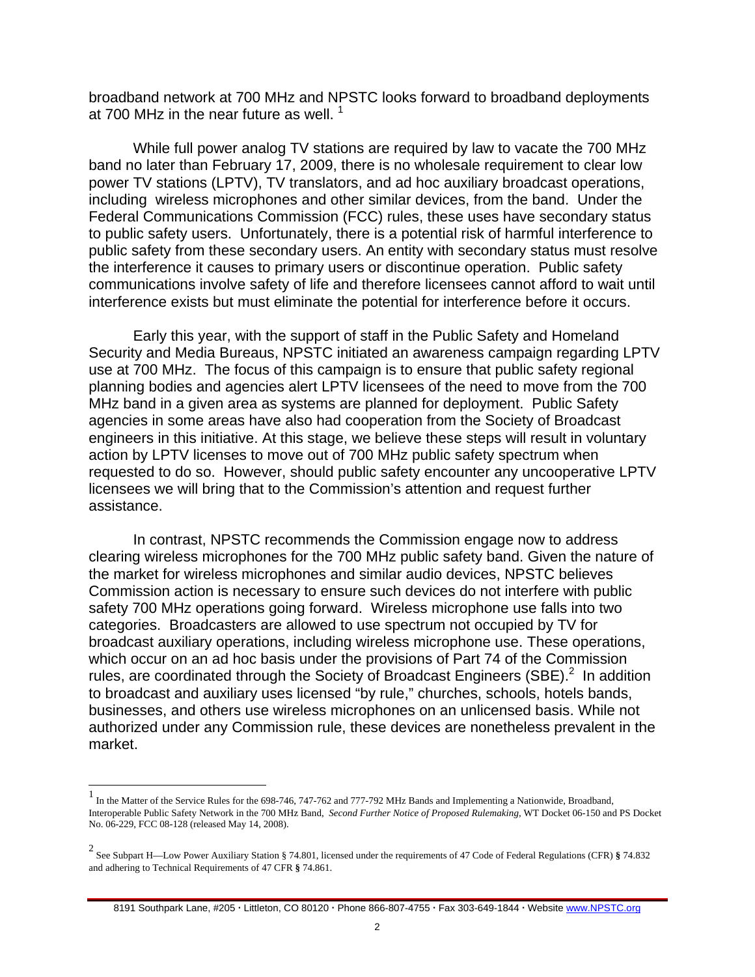broadband network at 700 MHz and NPSTC looks forward to broadband deployments at 700 MHz in the near future as well.  $1$ 

 While full power analog TV stations are required by law to vacate the 700 MHz band no later than February 17, 2009, there is no wholesale requirement to clear low power TV stations (LPTV), TV translators, and ad hoc auxiliary broadcast operations, including wireless microphones and other similar devices, from the band. Under the Federal Communications Commission (FCC) rules, these uses have secondary status to public safety users. Unfortunately, there is a potential risk of harmful interference to public safety from these secondary users. An entity with secondary status must resolve the interference it causes to primary users or discontinue operation. Public safety communications involve safety of life and therefore licensees cannot afford to wait until interference exists but must eliminate the potential for interference before it occurs.

 Early this year, with the support of staff in the Public Safety and Homeland Security and Media Bureaus, NPSTC initiated an awareness campaign regarding LPTV use at 700 MHz. The focus of this campaign is to ensure that public safety regional planning bodies and agencies alert LPTV licensees of the need to move from the 700 MHz band in a given area as systems are planned for deployment. Public Safety agencies in some areas have also had cooperation from the Society of Broadcast engineers in this initiative. At this stage, we believe these steps will result in voluntary action by LPTV licenses to move out of 700 MHz public safety spectrum when requested to do so. However, should public safety encounter any uncooperative LPTV licensees we will bring that to the Commission's attention and request further assistance.

 In contrast, NPSTC recommends the Commission engage now to address clearing wireless microphones for the 700 MHz public safety band. Given the nature of the market for wireless microphones and similar audio devices, NPSTC believes Commission action is necessary to ensure such devices do not interfere with public safety 700 MHz operations going forward. Wireless microphone use falls into two categories. Broadcasters are allowed to use spectrum not occupied by TV for broadcast auxiliary operations, including wireless microphone use. These operations, which occur on an ad hoc basis under the provisions of Part 74 of the Commission rules, are coordinated through the Society of Broadcast Engineers (SBE). $^2$  In addition to broadcast and auxiliary uses licensed "by rule," churches, schools, hotels bands, businesses, and others use wireless microphones on an unlicensed basis. While not authorized under any Commission rule, these devices are nonetheless prevalent in the market.

 $\overline{a}$ 

8191 Southpark Lane, #205 · Littleton, CO 80120 · Phone 866-807-4755 · Fax 303-649-1844 · Website www.NPSTC.org

<sup>&</sup>lt;sup>1</sup> In the Matter of the Service Rules for the 698-746, 747-762 and 777-792 MHz Bands and Implementing a Nationwide, Broadband, Interoperable Public Safety Network in the 700 MHz Band, *Second Further Notice of Proposed Rulemaking,* WT Docket 06-150 and PS Docket No. 06-229, FCC 08-128 (released May 14, 2008).

<sup>2</sup> See Subpart H—Low Power Auxiliary Station § 74.801, licensed under the requirements of 47 Code of Federal Regulations (CFR) **§** 74.832 and adhering to Technical Requirements of 47 CFR **§** 74.861.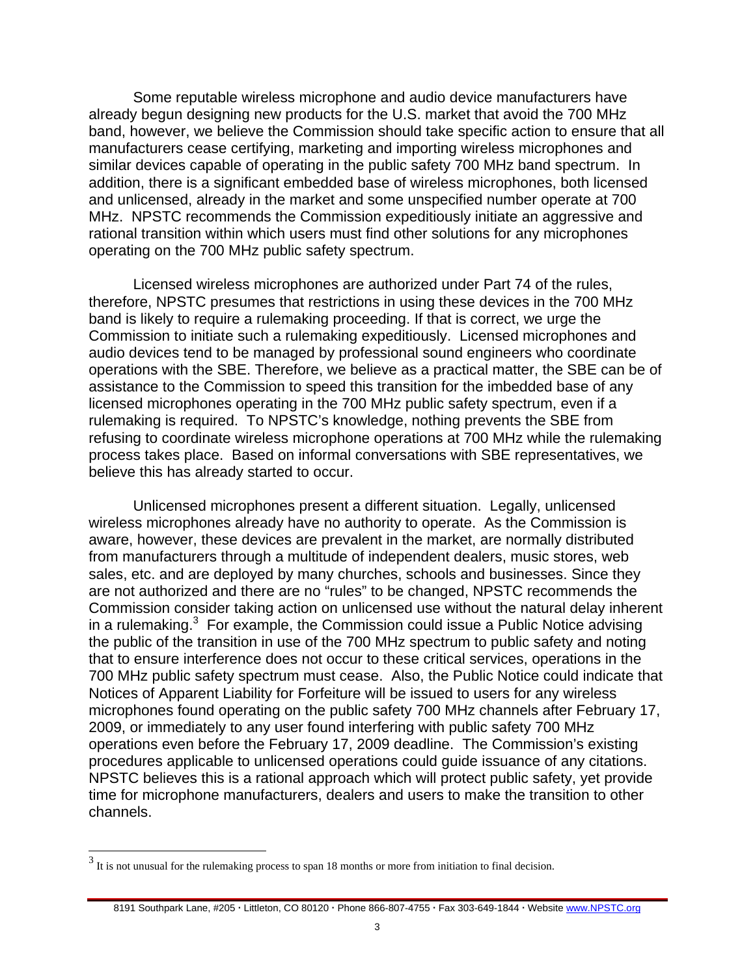Some reputable wireless microphone and audio device manufacturers have already begun designing new products for the U.S. market that avoid the 700 MHz band, however, we believe the Commission should take specific action to ensure that all manufacturers cease certifying, marketing and importing wireless microphones and similar devices capable of operating in the public safety 700 MHz band spectrum. In addition, there is a significant embedded base of wireless microphones, both licensed and unlicensed, already in the market and some unspecified number operate at 700 MHz. NPSTC recommends the Commission expeditiously initiate an aggressive and rational transition within which users must find other solutions for any microphones operating on the 700 MHz public safety spectrum.

 Licensed wireless microphones are authorized under Part 74 of the rules, therefore, NPSTC presumes that restrictions in using these devices in the 700 MHz band is likely to require a rulemaking proceeding. If that is correct, we urge the Commission to initiate such a rulemaking expeditiously. Licensed microphones and audio devices tend to be managed by professional sound engineers who coordinate operations with the SBE. Therefore, we believe as a practical matter, the SBE can be of assistance to the Commission to speed this transition for the imbedded base of any licensed microphones operating in the 700 MHz public safety spectrum, even if a rulemaking is required. To NPSTC's knowledge, nothing prevents the SBE from refusing to coordinate wireless microphone operations at 700 MHz while the rulemaking process takes place. Based on informal conversations with SBE representatives, we believe this has already started to occur.

 Unlicensed microphones present a different situation. Legally, unlicensed wireless microphones already have no authority to operate. As the Commission is aware, however, these devices are prevalent in the market, are normally distributed from manufacturers through a multitude of independent dealers, music stores, web sales, etc. and are deployed by many churches, schools and businesses. Since they are not authorized and there are no "rules" to be changed, NPSTC recommends the Commission consider taking action on unlicensed use without the natural delay inherent in a rulemaking. $3$  For example, the Commission could issue a Public Notice advising the public of the transition in use of the 700 MHz spectrum to public safety and noting that to ensure interference does not occur to these critical services, operations in the 700 MHz public safety spectrum must cease. Also, the Public Notice could indicate that Notices of Apparent Liability for Forfeiture will be issued to users for any wireless microphones found operating on the public safety 700 MHz channels after February 17, 2009, or immediately to any user found interfering with public safety 700 MHz operations even before the February 17, 2009 deadline. The Commission's existing procedures applicable to unlicensed operations could guide issuance of any citations. NPSTC believes this is a rational approach which will protect public safety, yet provide time for microphone manufacturers, dealers and users to make the transition to other channels.

<sup>&</sup>lt;sup>3</sup> It is not unusual for the rulemaking process to span 18 months or more from initiation to final decision.

<sup>8191</sup> Southpark Lane, #205 · Littleton, CO 80120 · Phone 866-807-4755 · Fax 303-649-1844 · Website www.NPSTC.org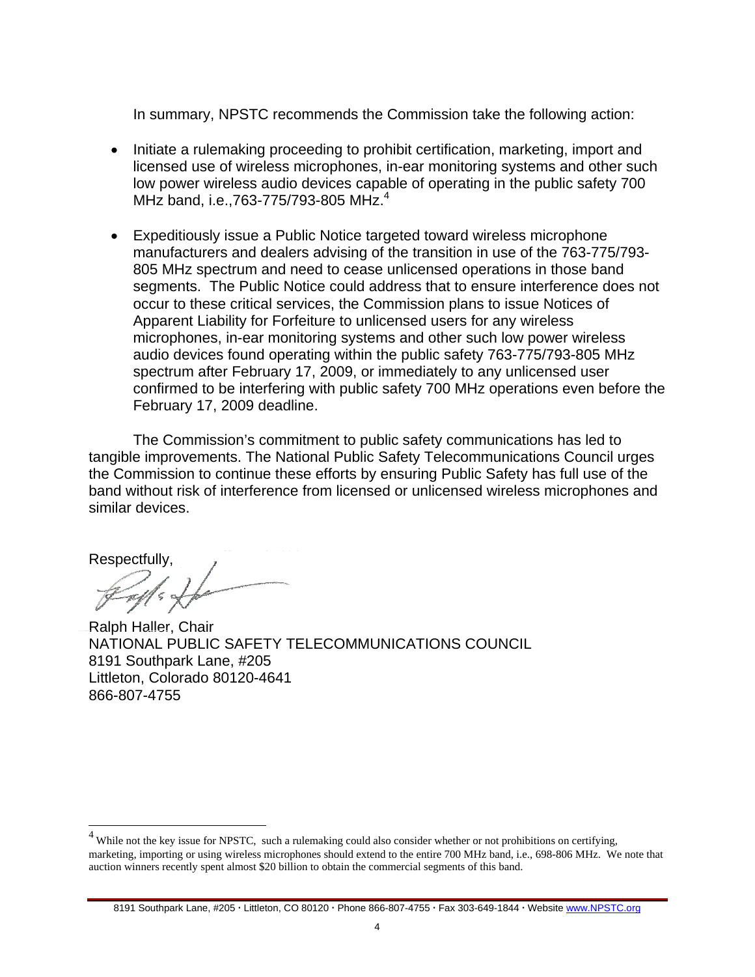In summary, NPSTC recommends the Commission take the following action:

- Initiate a rulemaking proceeding to prohibit certification, marketing, import and licensed use of wireless microphones, in-ear monitoring systems and other such low power wireless audio devices capable of operating in the public safety 700 MHz band, i.e., 763-775/793-805 MHz.<sup>4</sup>
- Expeditiously issue a Public Notice targeted toward wireless microphone manufacturers and dealers advising of the transition in use of the 763-775/793- 805 MHz spectrum and need to cease unlicensed operations in those band segments. The Public Notice could address that to ensure interference does not occur to these critical services, the Commission plans to issue Notices of Apparent Liability for Forfeiture to unlicensed users for any wireless microphones, in-ear monitoring systems and other such low power wireless audio devices found operating within the public safety 763-775/793-805 MHz spectrum after February 17, 2009, or immediately to any unlicensed user confirmed to be interfering with public safety 700 MHz operations even before the February 17, 2009 deadline.

The Commission's commitment to public safety communications has led to tangible improvements. The National Public Safety Telecommunications Council urges the Commission to continue these efforts by ensuring Public Safety has full use of the band without risk of interference from licensed or unlicensed wireless microphones and similar devices.

Respectfully,<br>  $\mathcal{L}_{\text{max}}$ 

Ralph Haller, Chair NATIONAL PUBLIC SAFETY TELECOMMUNICATIONS COUNCIL 8191 Southpark Lane, #205 Littleton, Colorado 80120-4641 866-807-4755

 $\frac{4}{4}$  While not the key issue for NPSTC, such a rulemaking could also consider whether or not prohibitions on certifying, marketing, importing or using wireless microphones should extend to the entire 700 MHz band, i.e., 698-806 MHz. We note that auction winners recently spent almost \$20 billion to obtain the commercial segments of this band.

<sup>8191</sup> Southpark Lane, #205 · Littleton, CO 80120 · Phone 866-807-4755 · Fax 303-649-1844 · Website www.NPSTC.org